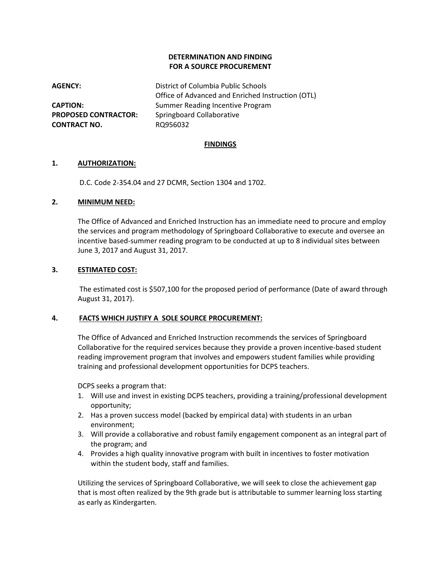## **DETERMINATION AND FINDING FOR A SOURCE PROCUREMENT**

**AGENCY:** District of Columbia Public Schools Office of Advanced and Enriched Instruction (OTL) **CAPTION:** Summer Reading Incentive Program **PROPOSED CONTRACTOR:** Springboard Collaborative **CONTRACT NO.** RO956032

#### **FINDINGS**

#### **1. AUTHORIZATION:**

D.C. Code 2-354.04 and 27 DCMR, Section 1304 and 1702.

#### **2. MINIMUM NEED:**

The Office of Advanced and Enriched Instruction has an immediate need to procure and employ the services and program methodology of Springboard Collaborative to execute and oversee an incentive based-summer reading program to be conducted at up to 8 individual sites between June 3, 2017 and August 31, 2017.

#### **3. ESTIMATED COST:**

The estimated cost is \$507,100 for the proposed period of performance (Date of award through August 31, 2017).

## **4. FACTS WHICH JUSTIFY A SOLE SOURCE PROCUREMENT:**

The Office of Advanced and Enriched Instruction recommends the services of Springboard Collaborative for the required services because they provide a proven incentive-based student reading improvement program that involves and empowers student families while providing training and professional development opportunities for DCPS teachers.

DCPS seeks a program that:

- 1. Will use and invest in existing DCPS teachers, providing a training/professional development opportunity;
- 2. Has a proven success model (backed by empirical data) with students in an urban environment;
- 3. Will provide a collaborative and robust family engagement component as an integral part of the program; and
- 4. Provides a high quality innovative program with built in incentives to foster motivation within the student body, staff and families.

Utilizing the services of Springboard Collaborative, we will seek to close the achievement gap that is most often realized by the 9th grade but is attributable to summer learning loss starting as early as Kindergarten.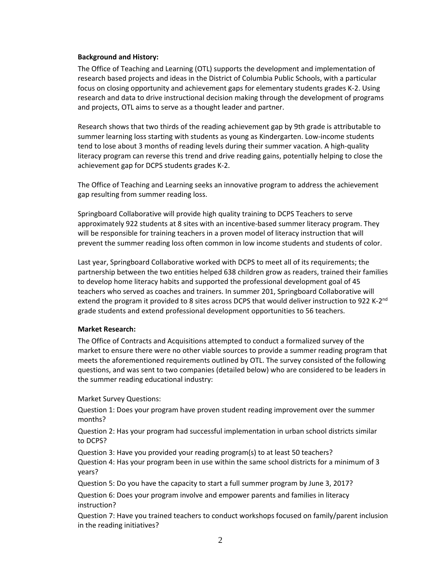#### **Background and History:**

The Office of Teaching and Learning (OTL) supports the development and implementation of research based projects and ideas in the District of Columbia Public Schools, with a particular focus on closing opportunity and achievement gaps for elementary students grades K-2. Using research and data to drive instructional decision making through the development of programs and projects, OTL aims to serve as a thought leader and partner.

Research shows that two thirds of the reading achievement gap by 9th grade is attributable to summer learning loss starting with students as young as Kindergarten. Low-income students tend to lose about 3 months of reading levels during their summer vacation. A high-quality literacy program can reverse this trend and drive reading gains, potentially helping to close the achievement gap for DCPS students grades K-2.

The Office of Teaching and Learning seeks an innovative program to address the achievement gap resulting from summer reading loss.

Springboard Collaborative will provide high quality training to DCPS Teachers to serve approximately 922 students at 8 sites with an incentive-based summer literacy program. They will be responsible for training teachers in a proven model of literacy instruction that will prevent the summer reading loss often common in low income students and students of color.

Last year, Springboard Collaborative worked with DCPS to meet all of its requirements; the partnership between the two entities helped 638 children grow as readers, trained their families to develop home literacy habits and supported the professional development goal of 45 teachers who served as coaches and trainers. In summer 201, Springboard Collaborative will extend the program it provided to 8 sites across DCPS that would deliver instruction to 922 K-2<sup>nd</sup> grade students and extend professional development opportunities to 56 teachers.

## **Market Research:**

The Office of Contracts and Acquisitions attempted to conduct a formalized survey of the market to ensure there were no other viable sources to provide a summer reading program that meets the aforementioned requirements outlined by OTL. The survey consisted of the following questions, and was sent to two companies (detailed below) who are considered to be leaders in the summer reading educational industry:

Market Survey Questions:

Question 1: Does your program have proven student reading improvement over the summer months?

Question 2: Has your program had successful implementation in urban school districts similar to DCPS?

Question 3: Have you provided your reading program(s) to at least 50 teachers? Question 4: Has your program been in use within the same school districts for a minimum of 3 years?

Question 5: Do you have the capacity to start a full summer program by June 3, 2017?

Question 6: Does your program involve and empower parents and families in literacy instruction?

Question 7: Have you trained teachers to conduct workshops focused on family/parent inclusion in the reading initiatives?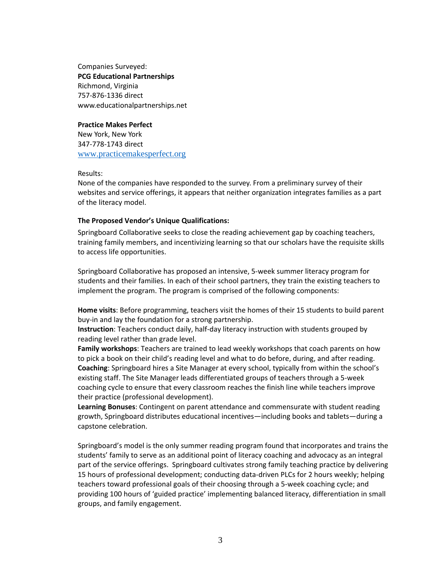Companies Surveyed: **PCG Educational Partnerships** Richmond, Virginia 757-876-1336 direct [www.educationalpartnerships.net](http://www.educationalpartnerships.net/)

#### **Practice Makes Perfect**

New York, New York 347-778-1743 direct [www.practicemakesperfect.org](http://www.practicemakesperfect.org/)

Results:

None of the companies have responded to the survey. From a preliminary survey of their websites and service offerings, it appears that neither organization integrates families as a part of the literacy model.

## **The Proposed Vendor's Unique Qualifications:**

Springboard Collaborative seeks to close the reading achievement gap by coaching teachers, training family members, and incentivizing learning so that our scholars have the requisite skills to access life opportunities.

Springboard Collaborative has proposed an intensive, 5-week summer literacy program for students and their families. In each of their school partners, they train the existing teachers to implement the program. The program is comprised of the following components:

**Home visits**: Before programming, teachers visit the homes of their 15 students to build parent buy-in and lay the foundation for a strong partnership.

**Instruction**: Teachers conduct daily, half-day literacy instruction with students grouped by reading level rather than grade level.

**Family workshops**: Teachers are trained to lead weekly workshops that coach parents on how to pick a book on their child's reading level and what to do before, during, and after reading. **Coaching**: Springboard hires a Site Manager at every school, typically from within the school's existing staff. The Site Manager leads differentiated groups of teachers through a 5-week coaching cycle to ensure that every classroom reaches the finish line while teachers improve their practice (professional development).

**Learning Bonuses**: Contingent on parent attendance and commensurate with student reading growth, Springboard distributes educational incentives—including books and tablets—during a capstone celebration.

Springboard's model is the only summer reading program found that incorporates and trains the students' family to serve as an additional point of literacy coaching and advocacy as an integral part of the service offerings. Springboard cultivates strong family teaching practice by delivering 15 hours of professional development; conducting data-driven PLCs for 2 hours weekly; helping teachers toward professional goals of their choosing through a 5-week coaching cycle; and providing 100 hours of 'guided practice' implementing balanced literacy, differentiation in small groups, and family engagement.